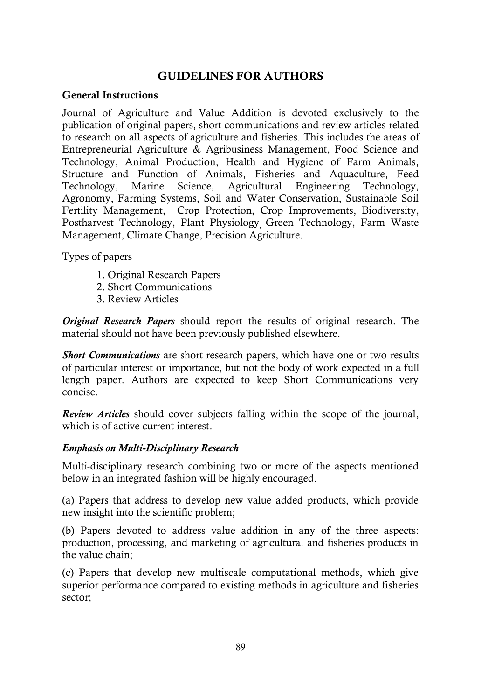# **GUIDELINES FOR AUTHORS**

### **General Instructions**

Journal of Agriculture and Value Addition is devoted exclusively to the publication of original papers, short communications and review articles related to research on all aspects of agriculture and fisheries. This includes the areas of Entrepreneurial Agriculture & Agribusiness Management, Food Science and Technology, Animal Production, Health and Hygiene of Farm Animals, Structure and Function of Animals, Fisheries and Aquaculture, Feed Technology, Marine Science, Agricultural Engineering Technology, Agronomy, Farming Systems, Soil and Water Conservation, Sustainable Soil Fertility Management, Crop Protection, Crop Improvements, Biodiversity, Postharvest Technology, Plant Physiology, Green Technology, Farm Waste Management, Climate Change, Precision Agriculture.

Types of papers

- 1. Original Research Papers
- 2. Short Communications
- 3. Review Articles

*Original Research Papers* should report the results of original research. The material should not have been previously published elsewhere.

*Short Communications* are short research papers, which have one or two results of particular interest or importance, but not the body of work expected in a full length paper. Authors are expected to keep Short Communications very concise.

*Review Articles* should cover subjects falling within the scope of the journal, which is of active current interest.

### *Emphasis on Multi-Disciplinary Research*

Multi-disciplinary research combining two or more of the aspects mentioned below in an integrated fashion will be highly encouraged.

(a) Papers that address to develop new value added products, which provide new insight into the scientific problem;

(b) Papers devoted to address value addition in any of the three aspects: production, processing, and marketing of agricultural and fisheries products in the value chain;

(c) Papers that develop new multiscale computational methods, which give superior performance compared to existing methods in agriculture and fisheries sector;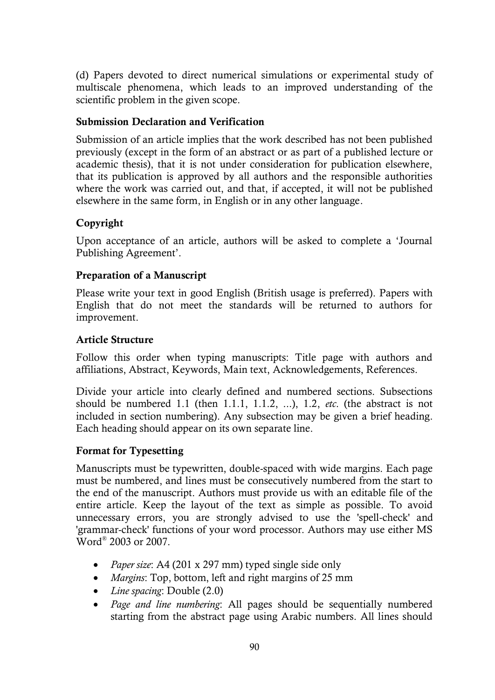(d) Papers devoted to direct numerical simulations or experimental study of multiscale phenomena, which leads to an improved understanding of the scientific problem in the given scope.

#### **Submission Declaration and Verification**

Submission of an article implies that the work described has not been published previously (except in the form of an abstract or as part of a published lecture or academic thesis), that it is not under consideration for publication elsewhere, that its publication is approved by all authors and the responsible authorities where the work was carried out, and that, if accepted, it will not be published elsewhere in the same form, in English or in any other language.

### **Copyright**

Upon acceptance of an article, authors will be asked to complete a 'Journal Publishing Agreement'.

### **Preparation of a Manuscript**

Please write your text in good English (British usage is preferred). Papers with English that do not meet the standards will be returned to authors for improvement.

#### **Article Structure**

Follow this order when typing manuscripts: Title page with authors and affiliations, Abstract, Keywords, Main text, Acknowledgements, References.

Divide your article into clearly defined and numbered sections. Subsections should be numbered 1.1 (then 1.1.1, 1.1.2, ...), 1.2, *etc*. (the abstract is not included in section numbering). Any subsection may be given a brief heading. Each heading should appear on its own separate line.

### **Format for Typesetting**

Manuscripts must be typewritten, double-spaced with wide margins. Each page must be numbered, and lines must be consecutively numbered from the start to the end of the manuscript. Authors must provide us with an editable file of the entire article. Keep the layout of the text as simple as possible. To avoid unnecessary errors, you are strongly advised to use the 'spell-check' and 'grammar-check' functions of your word processor. Authors may use either MS Word® 2003 or 2007.

- *Paper size*: A4 (201 x 297 mm) typed single side only
- *Margins*: Top, bottom, left and right margins of 25 mm
- *Line spacing*: Double (2.0)
- *Page and line numbering*: All pages should be sequentially numbered starting from the abstract page using Arabic numbers. All lines should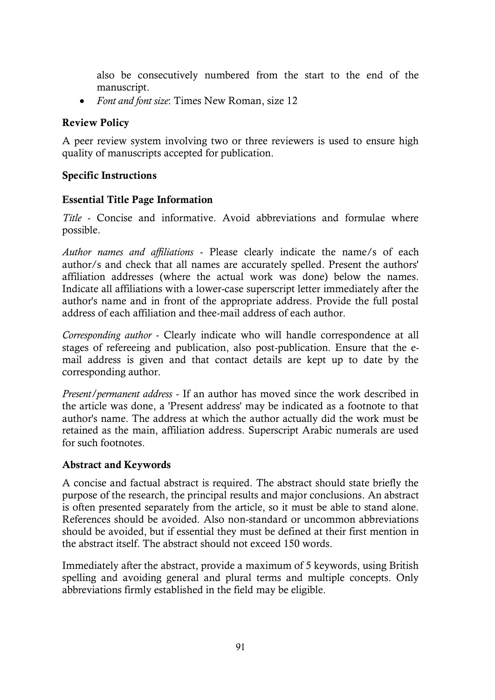also be consecutively numbered from the start to the end of the manuscript.

*Font and font size*: Times New Roman, size 12

# **Review Policy**

A peer review system involving two or three reviewers is used to ensure high quality of manuscripts accepted for publication.

# **Specific Instructions**

# **Essential Title Page Information**

*Title* - Concise and informative. Avoid abbreviations and formulae where possible.

*Author names and affiliations* - Please clearly indicate the name/s of each author/s and check that all names are accurately spelled. Present the authors' affiliation addresses (where the actual work was done) below the names. Indicate all affiliations with a lower-case superscript letter immediately after the author's name and in front of the appropriate address. Provide the full postal address of each affiliation and thee-mail address of each author.

*Corresponding author* - Clearly indicate who will handle correspondence at all stages of refereeing and publication, also post-publication. Ensure that the email address is given and that contact details are kept up to date by the corresponding author.

*Present/permanent address* - If an author has moved since the work described in the article was done, a 'Present address' may be indicated as a footnote to that author's name. The address at which the author actually did the work must be retained as the main, affiliation address. Superscript Arabic numerals are used for such footnotes.

### **Abstract and Keywords**

A concise and factual abstract is required. The abstract should state briefly the purpose of the research, the principal results and major conclusions. An abstract is often presented separately from the article, so it must be able to stand alone. References should be avoided. Also non-standard or uncommon abbreviations should be avoided, but if essential they must be defined at their first mention in the abstract itself. The abstract should not exceed 150 words.

Immediately after the abstract, provide a maximum of 5 keywords, using British spelling and avoiding general and plural terms and multiple concepts. Only abbreviations firmly established in the field may be eligible.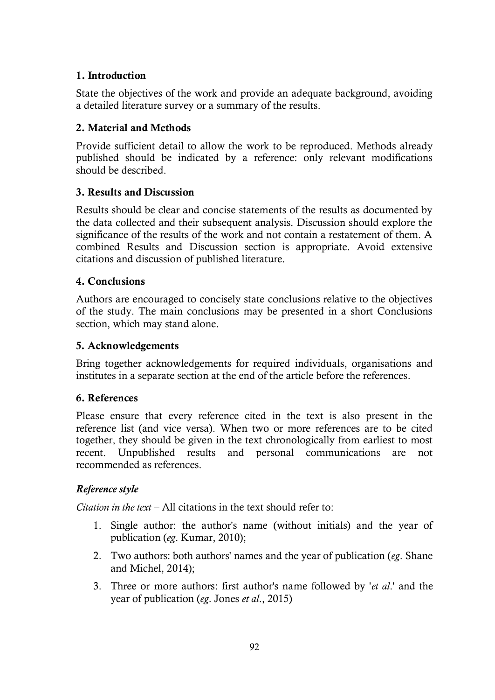### **1. Introduction**

State the objectives of the work and provide an adequate background, avoiding a detailed literature survey or a summary of the results.

### **2. Material and Methods**

Provide sufficient detail to allow the work to be reproduced. Methods already published should be indicated by a reference: only relevant modifications should be described.

# **3. Results and Discussion**

Results should be clear and concise statements of the results as documented by the data collected and their subsequent analysis. Discussion should explore the significance of the results of the work and not contain a restatement of them. A combined Results and Discussion section is appropriate. Avoid extensive citations and discussion of published literature.

# **4. Conclusions**

Authors are encouraged to concisely state conclusions relative to the objectives of the study. The main conclusions may be presented in a short Conclusions section, which may stand alone.

# **5. Acknowledgements**

Bring together acknowledgements for required individuals, organisations and institutes in a separate section at the end of the article before the references.

### **6. References**

Please ensure that every reference cited in the text is also present in the reference list (and vice versa). When two or more references are to be cited together, they should be given in the text chronologically from earliest to most recent. Unpublished results and personal communications are not recommended as references.

# *Reference style*

*Citation in the text – All citations in the text should refer to:* 

- 1. Single author: the author's name (without initials) and the year of publication (*eg*. Kumar, 2010);
- 2. Two authors: both authors' names and the year of publication (*eg*. Shane and Michel, 2014);
- 3. Three or more authors: first author's name followed by '*et al*.' and the year of publication (*eg*. Jones *et al*., 2015)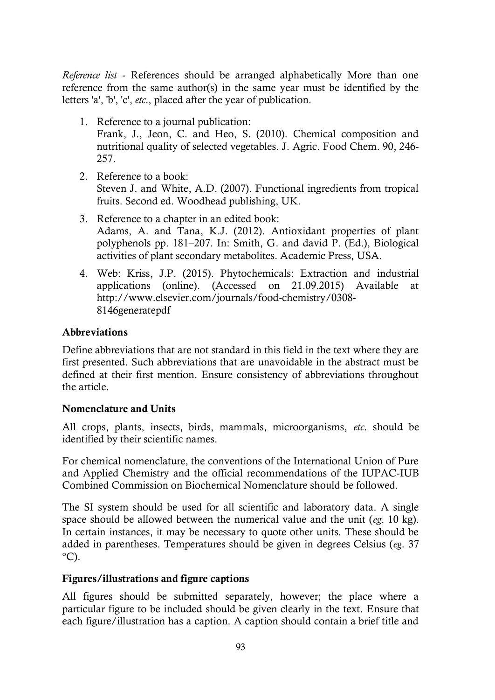*Reference list* - References should be arranged alphabetically More than one reference from the same author(s) in the same year must be identified by the letters 'a', 'b', 'c', *etc*., placed after the year of publication.

- 1. Reference to a journal publication: Frank, J., Jeon, C. and Heo, S. (2010). Chemical composition and nutritional quality of selected vegetables. J. Agric. Food Chem. 90, 246- 257.
- 2. Reference to a book: Steven J. and White, A.D. (2007). Functional ingredients from tropical fruits. Second ed. Woodhead publishing, UK.
- 3. Reference to a chapter in an edited book: Adams, A. and Tana, K.J. (2012). Antioxidant properties of plant polyphenols pp. 181–207. In: Smith, G. and david P. (Ed.), Biological activities of plant secondary metabolites. Academic Press, USA.
- 4. Web: Kriss, J.P. (2015). Phytochemicals: Extraction and industrial applications (online). (Accessed on 21.09.2015) Available at http://www.elsevier.com/journals/food-chemistry/0308- 8146generatepdf

### **Abbreviations**

Define abbreviations that are not standard in this field in the text where they are first presented. Such abbreviations that are unavoidable in the abstract must be defined at their first mention. Ensure consistency of abbreviations throughout the article.

### **Nomenclature and Units**

All crops, plants, insects, birds, mammals, microorganisms, *etc*. should be identified by their scientific names.

For chemical nomenclature, the conventions of the International Union of Pure and Applied Chemistry and the official recommendations of the IUPAC-IUB Combined Commission on Biochemical Nomenclature should be followed.

The SI system should be used for all scientific and laboratory data. A single space should be allowed between the numerical value and the unit (*eg*. 10 kg). In certain instances, it may be necessary to quote other units. These should be added in parentheses. Temperatures should be given in degrees Celsius (*eg*. 37  $^{\circ}$ C).

### **Figures/illustrations and figure captions**

All figures should be submitted separately, however; the place where a particular figure to be included should be given clearly in the text. Ensure that each figure/illustration has a caption. A caption should contain a brief title and